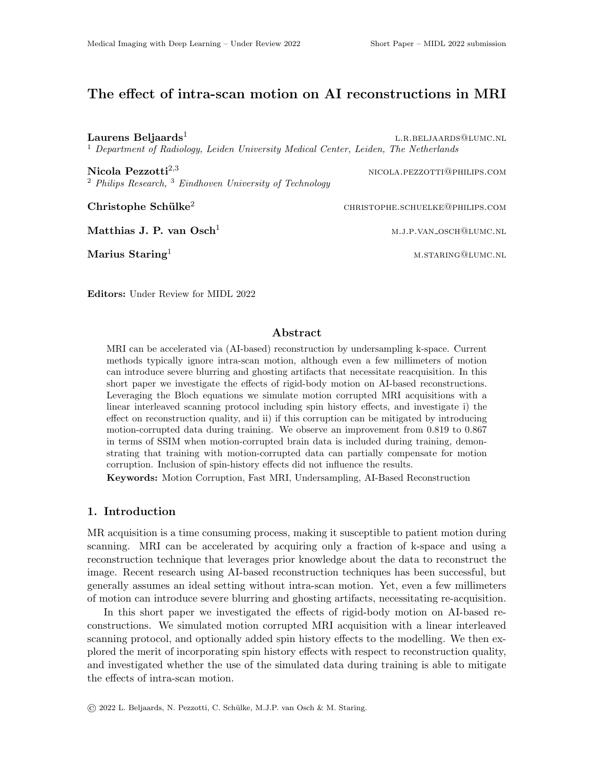# The effect of intra-scan motion on AI reconstructions in MRI

Laurens Beljaards<sup>1</sup> l.r.beljaards@lumc.nl <sup>1</sup> Department of Radiology, Leiden University Medical Center, Leiden, The Netherlands  $\bf{Nicola\ Pezzotti}^{2,3}$  nicola.pezzotti@philips.com

 $2$  Philips Research,  $3$  Eindhoven University of Technology

 $\textbf{Christophe Schülke}^2$  christophe.schuelke@philips.com

 $\mathbf{Marius\ Staring}^{1}$  means the mass of means of means  $\mathbf{Maxmax}(\mathbf{Quunc}.\mathbf{NL})$ 

Editors: Under Review for MIDL 2022

# Abstract

MRI can be accelerated via (AI-based) reconstruction by undersampling k-space. Current methods typically ignore intra-scan motion, although even a few millimeters of motion can introduce severe blurring and ghosting artifacts that necessitate reacquisition. In this short paper we investigate the effects of rigid-body motion on AI-based reconstructions. Leveraging the Bloch equations we simulate motion corrupted MRI acquisitions with a linear interleaved scanning protocol including spin history effects, and investigate i) the effect on reconstruction quality, and ii) if this corruption can be mitigated by introducing motion-corrupted data during training. We observe an improvement from 0.819 to 0.867 in terms of SSIM when motion-corrupted brain data is included during training, demonstrating that training with motion-corrupted data can partially compensate for motion corruption. Inclusion of spin-history effects did not influence the results.

Keywords: Motion Corruption, Fast MRI, Undersampling, AI-Based Reconstruction

# 1. Introduction

MR acquisition is a time consuming process, making it susceptible to patient motion during scanning. MRI can be accelerated by acquiring only a fraction of k-space and using a reconstruction technique that leverages prior knowledge about the data to reconstruct the image. Recent research using AI-based reconstruction techniques has been successful, but generally assumes an ideal setting without intra-scan motion. Yet, even a few millimeters of motion can introduce severe blurring and ghosting artifacts, necessitating re-acquisition.

In this short paper we investigated the effects of rigid-body motion on AI-based reconstructions. We simulated motion corrupted MRI acquisition with a linear interleaved scanning protocol, and optionally added spin history effects to the modelling. We then explored the merit of incorporating spin history effects with respect to reconstruction quality, and investigated whether the use of the simulated data during training is able to mitigate the effects of intra-scan motion.

Matthias J. P. van Osch<sup>1</sup> m.j.p.van osch@lumc.nl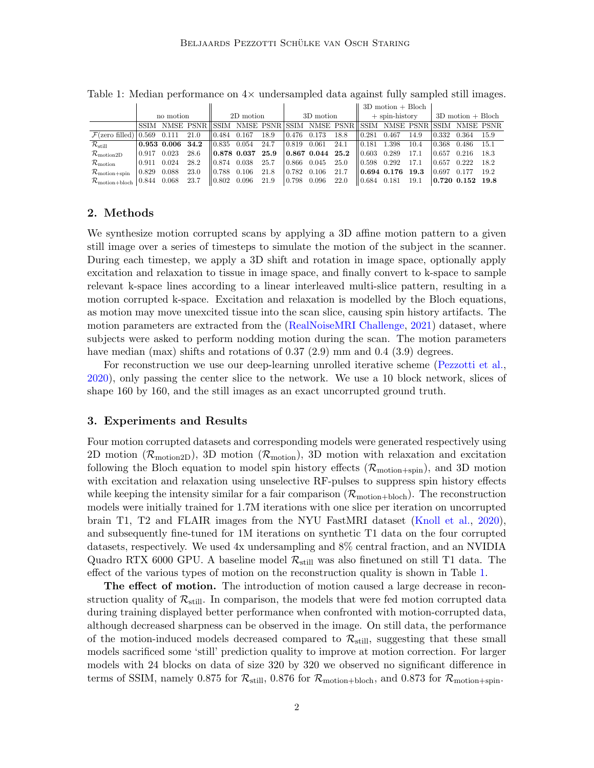|                                                 |             |                 |      |                               |                              |      |           |                                            |      | $3D$ motion + Bloch     |                    |      |                     |                                                                            |       |
|-------------------------------------------------|-------------|-----------------|------|-------------------------------|------------------------------|------|-----------|--------------------------------------------|------|-------------------------|--------------------|------|---------------------|----------------------------------------------------------------------------|-------|
|                                                 | no motion   |                 |      | 2D motion                     |                              |      | 3D motion |                                            |      | $+$ spin-history        |                    |      | $3D$ motion + Bloch |                                                                            |       |
|                                                 |             |                 |      |                               |                              |      |           |                                            |      |                         |                    |      |                     | SSIM NMSE PSNR SSIM NMSE PSNR SSIM NMSE PSNR SSIM NMSE PSNR SSIM NMSE PSNR |       |
| $\mathcal{F}$ (zero filled) 0.569 0.111         |             |                 | 21.0 | $\parallel$ 0.484 0.167       |                              | 18.9 | 0.476     | 0.173                                      | 18.8 | 0.281                   | 0.467              | 14.9 | 0.332               | 0.364                                                                      | 15.9  |
| $\mathcal{R}_{\rm still}$                       |             | $0.953$ $0.006$ | 34.2 | $\parallel 0.835 \quad 0.054$ |                              | 24.7 | 0.819     | 0.061                                      | 24.1 | $\parallel 0.181$       | 1.398              | 10.4 | 0.368               | 0.486                                                                      | -15.1 |
| $\mathcal{R}_{\rm motion2D}$                    | 0.917       | 0.023           | 28.6 |                               | $\parallel$ 0.878 0.037 25.9 |      |           | $\vert 0.867 \vert 0.044 \vert 25.2 \vert$ |      | $\pm 0.603$             | 0.289              | 17.1 | 0.657               | 0.216                                                                      | 18.3  |
| $\mathcal{R}_{\rm motion}$                      | 0.911       | 0.024           | 28.2 | 10.874                        | 0.038                        | 25.7 | 0.866     | 0.045                                      | 25.0 | 0.598                   | 0.292              | 17.1 | 0.657               | 0.222                                                                      | 18.2  |
| $\mathcal{R}_{\rm motion+spin}$                 | 0.829 0.088 |                 | 23.0 | ll 0.788                      | 0.106                        | 21.8 | 0.782     | 0.106                                      | 21.7 |                         | 0.694, 0.176, 19.3 |      | 0.697               | 0.177                                                                      | 19.2  |
| $\mathcal{R}_{\text{motion+block}}$ 0.844 0.068 |             |                 | 23.7 | $\parallel$ 0.802             | 0.096                        | 21.9 | 0.798     | 0.096                                      | 22.0 | $\parallel 0.684$ 0.181 |                    | 19.1 |                     | 0.720 0.152 19.8                                                           |       |

<span id="page-1-0"></span>Table 1: Median performance on  $4\times$  undersampled data against fully sampled still images.

#### 2. Methods

We synthesize motion corrupted scans by applying a 3D affine motion pattern to a given still image over a series of timesteps to simulate the motion of the subject in the scanner. During each timestep, we apply a 3D shift and rotation in image space, optionally apply excitation and relaxation to tissue in image space, and finally convert to k-space to sample relevant k-space lines according to a linear interleaved multi-slice pattern, resulting in a motion corrupted k-space. Excitation and relaxation is modelled by the Bloch equations, as motion may move unexcited tissue into the scan slice, causing spin history artifacts. The motion parameters are extracted from the [\(RealNoiseMRI Challenge,](#page-2-0) [2021\)](#page-2-0) dataset, where subjects were asked to perform nodding motion during the scan. The motion parameters have median (max) shifts and rotations of  $0.37$  (2.9) mm and  $0.4$  (3.9) degrees.

For reconstruction we use our deep-learning unrolled iterative scheme [\(Pezzotti et al.,](#page-2-1) [2020\)](#page-2-1), only passing the center slice to the network. We use a 10 block network, slices of shape 160 by 160, and the still images as an exact uncorrupted ground truth.

### 3. Experiments and Results

Four motion corrupted datasets and corresponding models were generated respectively using 2D motion ( $\mathcal{R}_{\text{motion2D}}$ ), 3D motion ( $\mathcal{R}_{\text{motion}}$ ), 3D motion with relaxation and excitation following the Bloch equation to model spin history effects  $(\mathcal{R}_{\text{motion+spin}})$ , and 3D motion with excitation and relaxation using unselective RF-pulses to suppress spin history effects while keeping the intensity similar for a fair comparison  $(\mathcal{R}_{motion+block})$ . The reconstruction models were initially trained for 1.7M iterations with one slice per iteration on uncorrupted brain T1, T2 and FLAIR images from the NYU FastMRI dataset [\(Knoll et al.,](#page-2-2) [2020\)](#page-2-2), and subsequently fine-tuned for 1M iterations on synthetic T1 data on the four corrupted datasets, respectively. We used 4x undersampling and 8% central fraction, and an NVIDIA Quadro RTX 6000 GPU. A baseline model  $\mathcal{R}_{\text{still}}$  was also finetuned on still T1 data. The effect of the various types of motion on the reconstruction quality is shown in Table [1.](#page-1-0)

The effect of motion. The introduction of motion caused a large decrease in reconstruction quality of  $\mathcal{R}_{still}$ . In comparison, the models that were fed motion corrupted data during training displayed better performance when confronted with motion-corrupted data, although decreased sharpness can be observed in the image. On still data, the performance of the motion-induced models decreased compared to  $\mathcal{R}_{still}$ , suggesting that these small models sacrificed some 'still' prediction quality to improve at motion correction. For larger models with 24 blocks on data of size 320 by 320 we observed no significant difference in terms of SSIM, namely 0.875 for  $\mathcal{R}_{still}$ , 0.876 for  $\mathcal{R}_{motion+block}$ , and 0.873 for  $\mathcal{R}_{motion+spin}$ .